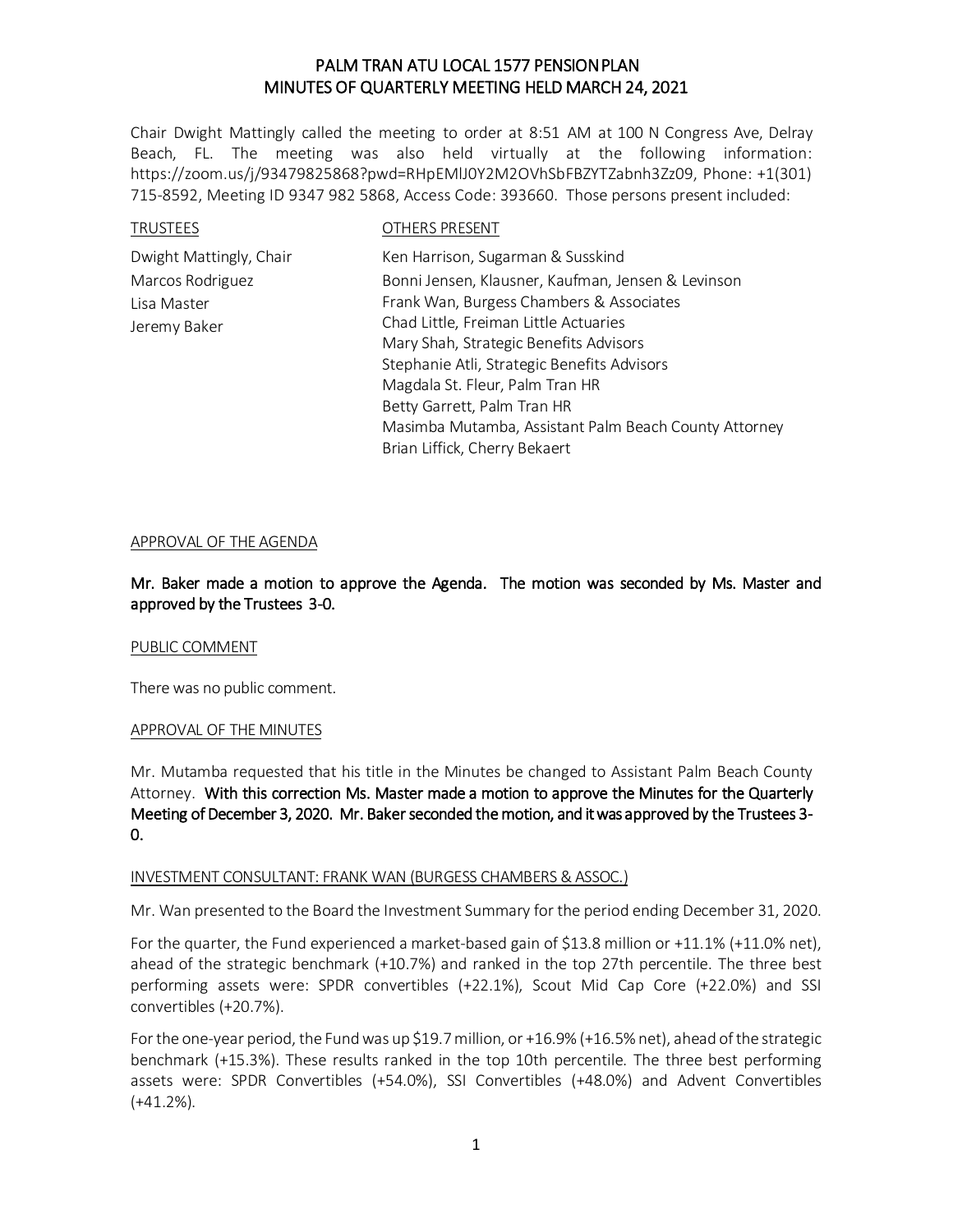Chair Dwight Mattingly called the meeting to order at 8:51 AM at 100 N Congress Ave, Delray Beach, FL. The meeting was also held virtually at the following information: https://zoom.us/j/93479825868?pwd=RHpEMlJ0Y2M2OVhSbFBZYTZabnh3Zz09, Phone: +1(301) 715-8592, Meeting ID 9347 982 5868, Access Code: 393660. Those persons present included:

| <b>TRUSTEES</b>         | OTHERS PRESENT                                        |
|-------------------------|-------------------------------------------------------|
| Dwight Mattingly, Chair | Ken Harrison, Sugarman & Susskind                     |
| Marcos Rodriguez        | Bonni Jensen, Klausner, Kaufman, Jensen & Levinson    |
| Lisa Master             | Frank Wan, Burgess Chambers & Associates              |
| Jeremy Baker            | Chad Little, Freiman Little Actuaries                 |
|                         | Mary Shah, Strategic Benefits Advisors                |
|                         | Stephanie Atli, Strategic Benefits Advisors           |
|                         | Magdala St. Fleur, Palm Tran HR                       |
|                         | Betty Garrett, Palm Tran HR                           |
|                         | Masimba Mutamba, Assistant Palm Beach County Attorney |
|                         | Brian Liffick, Cherry Bekaert                         |

#### APPROVAL OF THE AGENDA

Mr. Baker made a motion to approve the Agenda. The motion was seconded by Ms. Master and approved by the Trustees 3-0.

#### PUBLIC COMMENT

There was no public comment.

### APPROVAL OF THE MINUTES

Mr. Mutamba requested that his title in the Minutes be changed to Assistant Palm Beach County Attorney. With this correction Ms. Master made a motion to approve the Minutes for the Quarterly Meeting of December 3, 2020. Mr. Baker seconded the motion, and it was approved by the Trustees 3- 0.

#### INVESTMENT CONSULTANT: FRANK WAN (BURGESS CHAMBERS & ASSOC.)

Mr. Wan presented to the Board the Investment Summary for the period ending December 31, 2020.

For the quarter, the Fund experienced a market-based gain of \$13.8 million or +11.1% (+11.0% net), ahead of the strategic benchmark (+10.7%) and ranked in the top 27th percentile. The three best performing assets were: SPDR convertibles (+22.1%), Scout Mid Cap Core (+22.0%) and SSI convertibles (+20.7%).

For the one-year period, the Fund was up \$19.7 million, or +16.9% (+16.5% net), ahead of the strategic benchmark (+15.3%). These results ranked in the top 10th percentile. The three best performing assets were: SPDR Convertibles (+54.0%), SSI Convertibles (+48.0%) and Advent Convertibles (+41.2%).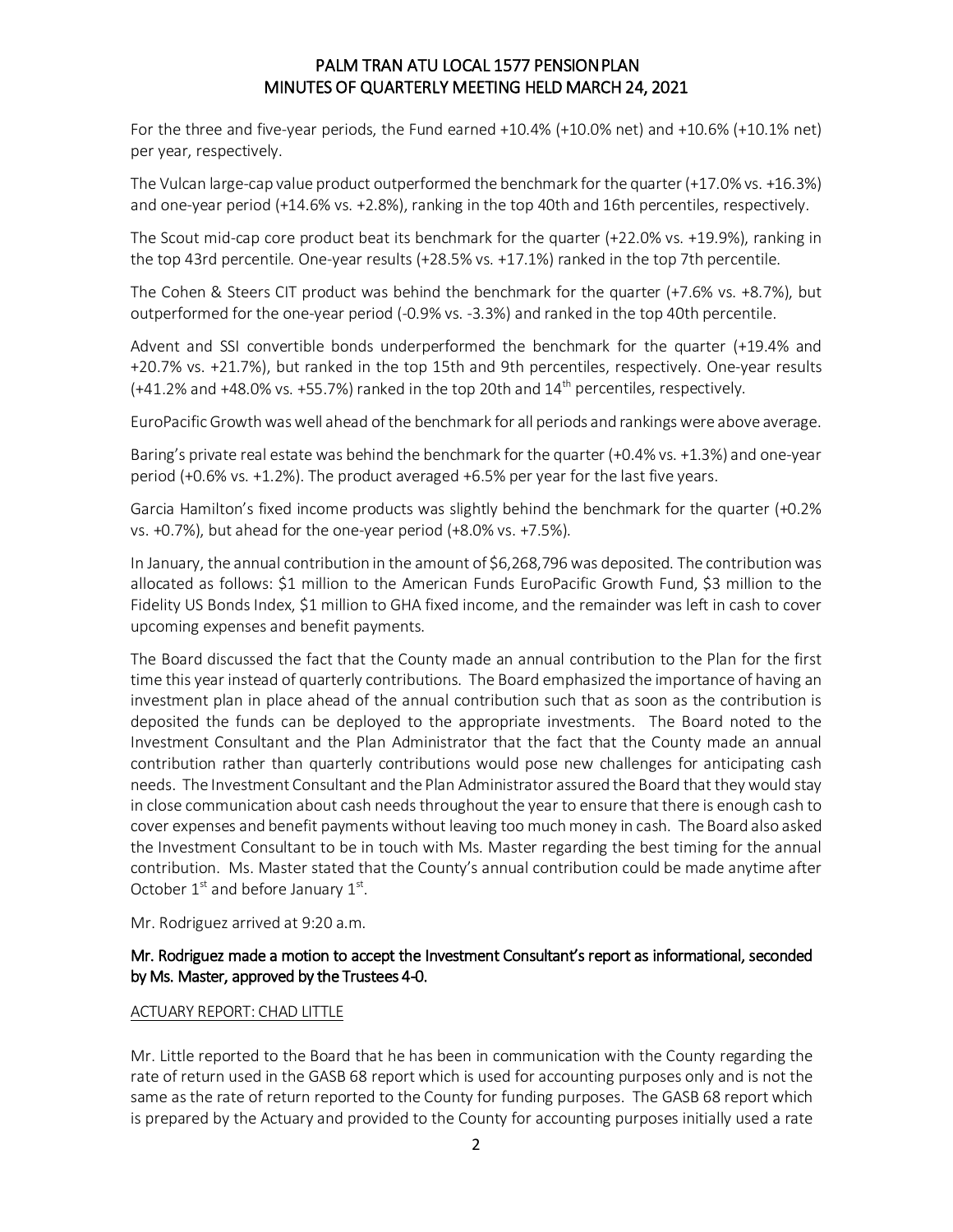For the three and five-year periods, the Fund earned +10.4% (+10.0% net) and +10.6% (+10.1% net) per year, respectively.

The Vulcan large-cap value product outperformed the benchmark for the quarter (+17.0% vs. +16.3%) and one-year period (+14.6% vs. +2.8%), ranking in the top 40th and 16th percentiles, respectively.

The Scout mid-cap core product beat its benchmark for the quarter (+22.0% vs. +19.9%), ranking in the top 43rd percentile. One-year results (+28.5% vs. +17.1%) ranked in the top 7th percentile.

The Cohen & Steers CIT product was behind the benchmark for the quarter (+7.6% vs. +8.7%), but outperformed for the one-year period (-0.9% vs. -3.3%) and ranked in the top 40th percentile.

Advent and SSI convertible bonds underperformed the benchmark for the quarter (+19.4% and +20.7% vs. +21.7%), but ranked in the top 15th and 9th percentiles, respectively. One-year results  $(+41.2\%$  and  $+48.0\%$  vs.  $+55.7\%$ ) ranked in the top 20th and  $14^{\text{th}}$  percentiles, respectively.

EuroPacific Growth was well ahead of the benchmark for all periods and rankings were above average.

Baring's private real estate was behind the benchmark for the quarter (+0.4% vs. +1.3%) and one-year period (+0.6% vs. +1.2%). The product averaged +6.5% per year for the last five years.

Garcia Hamilton's fixed income products was slightly behind the benchmark for the quarter (+0.2% vs. +0.7%), but ahead for the one-year period (+8.0% vs. +7.5%).

In January, the annual contribution in the amount of \$6,268,796 was deposited. The contribution was allocated as follows: \$1 million to the American Funds EuroPacific Growth Fund, \$3 million to the Fidelity US Bonds Index, \$1 million to GHA fixed income, and the remainder was left in cash to cover upcoming expenses and benefit payments.

The Board discussed the fact that the County made an annual contribution to the Plan for the first time this year instead of quarterly contributions. The Board emphasized the importance of having an investment plan in place ahead of the annual contribution such that as soon as the contribution is deposited the funds can be deployed to the appropriate investments. The Board noted to the Investment Consultant and the Plan Administrator that the fact that the County made an annual contribution rather than quarterly contributions would pose new challenges for anticipating cash needs. The Investment Consultant and the Plan Administrator assured the Board that they would stay in close communication about cash needs throughout the year to ensure that there is enough cash to cover expenses and benefit payments without leaving too much money in cash. The Board also asked the Investment Consultant to be in touch with Ms. Master regarding the best timing for the annual contribution. Ms. Master stated that the County's annual contribution could be made anytime after October  $1^{st}$  and before January  $1^{st}$ .

Mr. Rodriguez arrived at 9:20 a.m.

## Mr. Rodriguez made a motion to accept the Investment Consultant's report as informational, seconded by Ms. Master, approved by the Trustees 4-0.

### ACTUARY REPORT: CHAD LITTLE

Mr. Little reported to the Board that he has been in communication with the County regarding the rate of return used in the GASB 68 report which is used for accounting purposes only and is not the same as the rate of return reported to the County for funding purposes. The GASB 68 report which is prepared by the Actuary and provided to the County for accounting purposes initially used a rate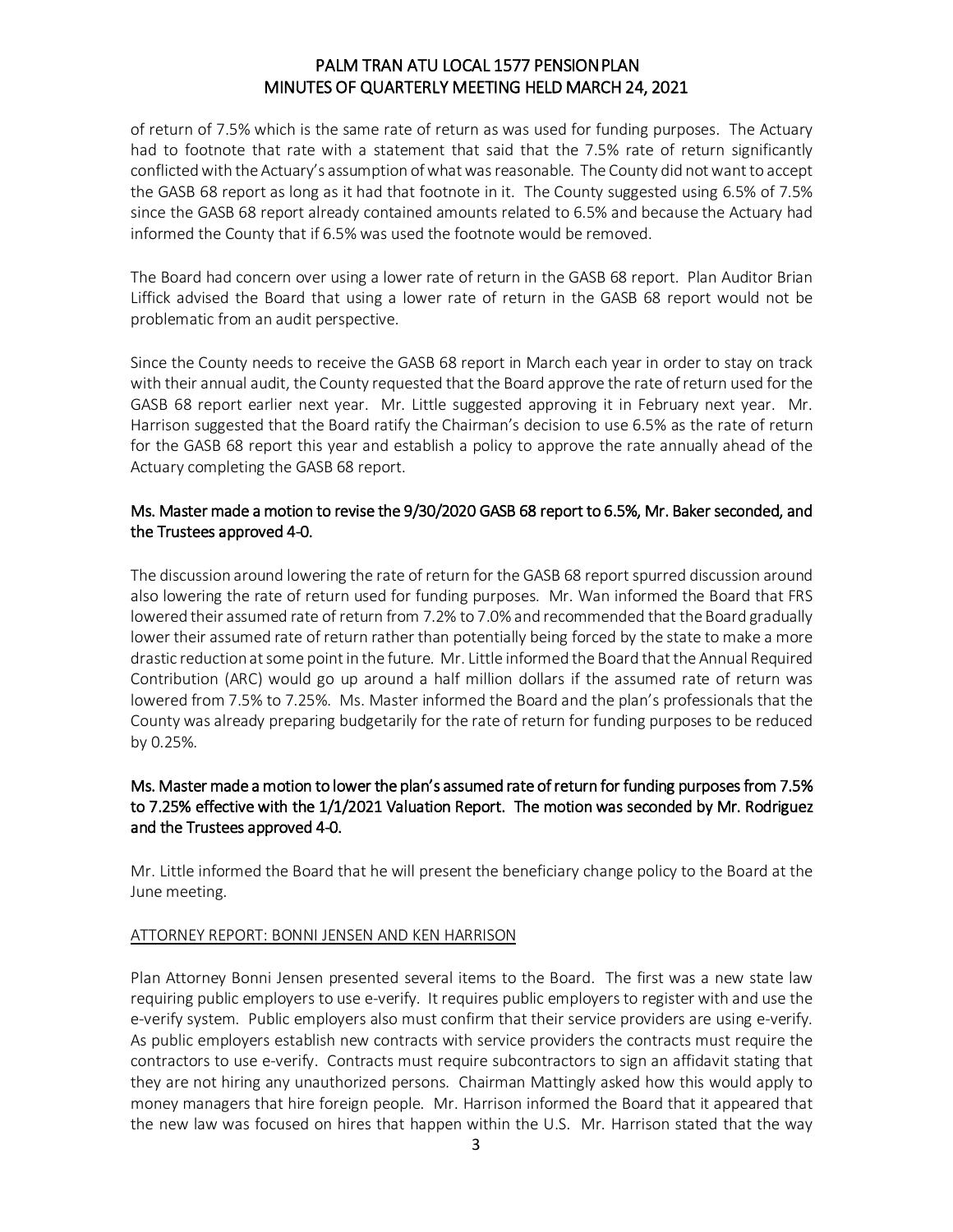of return of 7.5% which is the same rate of return as was used for funding purposes. The Actuary had to footnote that rate with a statement that said that the 7.5% rate of return significantly conflicted with the Actuary's assumption of what was reasonable. The County did not want to accept the GASB 68 report as long as it had that footnote in it. The County suggested using 6.5% of 7.5% since the GASB 68 report already contained amounts related to 6.5% and because the Actuary had informed the County that if 6.5% was used the footnote would be removed.

The Board had concern over using a lower rate of return in the GASB 68 report. Plan Auditor Brian Liffick advised the Board that using a lower rate of return in the GASB 68 report would not be problematic from an audit perspective.

Since the County needs to receive the GASB 68 report in March each year in order to stay on track with their annual audit, the County requested that the Board approve the rate of return used for the GASB 68 report earlier next year. Mr. Little suggested approving it in February next year. Mr. Harrison suggested that the Board ratify the Chairman's decision to use 6.5% as the rate of return for the GASB 68 report this year and establish a policy to approve the rate annually ahead of the Actuary completing the GASB 68 report.

## Ms. Master made a motion to revise the 9/30/2020 GASB 68 report to 6.5%, Mr. Baker seconded, and the Trustees approved 4-0.

The discussion around lowering the rate of return for the GASB 68 report spurred discussion around also lowering the rate of return used for funding purposes. Mr. Wan informed the Board that FRS lowered their assumed rate of return from 7.2% to 7.0% and recommended that the Board gradually lower their assumed rate of return rather than potentially being forced by the state to make a more drastic reduction at some point in the future. Mr. Little informed the Board that the Annual Required Contribution (ARC) would go up around a half million dollars if the assumed rate of return was lowered from 7.5% to 7.25%. Ms. Master informed the Board and the plan's professionals that the County was already preparing budgetarily for the rate of return for funding purposes to be reduced by 0.25%.

## Ms. Master made a motion to lower the plan's assumed rate of return for funding purposes from 7.5% to 7.25% effective with the 1/1/2021 Valuation Report. The motion was seconded by Mr. Rodriguez and the Trustees approved 4-0.

Mr. Little informed the Board that he will present the beneficiary change policy to the Board at the June meeting.

### ATTORNEY REPORT: BONNI JENSEN AND KEN HARRISON

Plan Attorney Bonni Jensen presented several items to the Board. The first was a new state law requiring public employers to use e-verify. It requires public employers to register with and use the e-verify system. Public employers also must confirm that their service providers are using e-verify. As public employers establish new contracts with service providers the contracts must require the contractors to use e-verify. Contracts must require subcontractors to sign an affidavit stating that they are not hiring any unauthorized persons. Chairman Mattingly asked how this would apply to money managers that hire foreign people. Mr. Harrison informed the Board that it appeared that the new law was focused on hires that happen within the U.S. Mr. Harrison stated that the way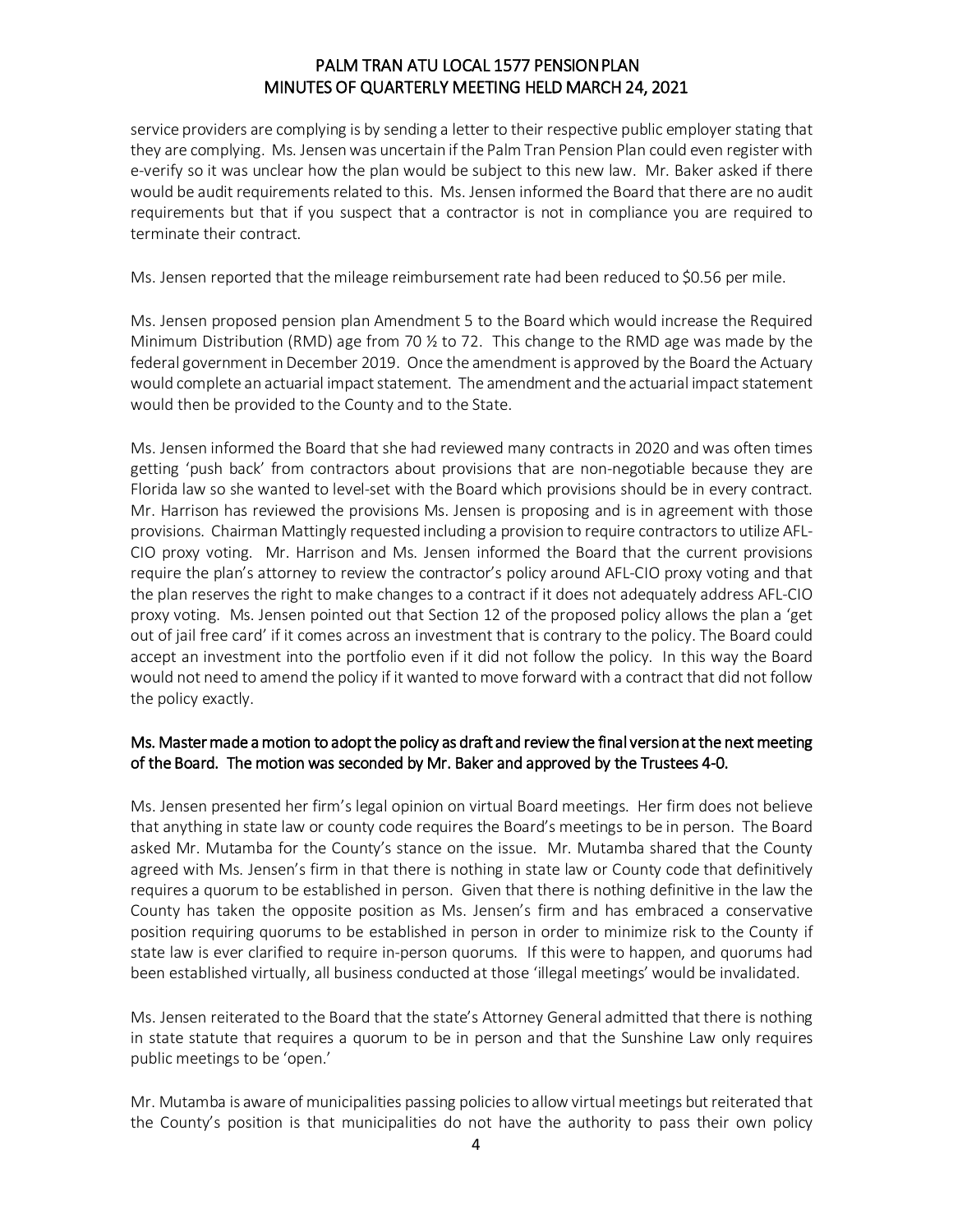service providers are complying is by sending a letter to their respective public employer stating that they are complying. Ms. Jensen was uncertain if the Palm Tran Pension Plan could even register with e-verify so it was unclear how the plan would be subject to this new law. Mr. Baker asked if there would be audit requirements related to this. Ms. Jensen informed the Board that there are no audit requirements but that if you suspect that a contractor is not in compliance you are required to terminate their contract.

Ms. Jensen reported that the mileage reimbursement rate had been reduced to \$0.56 per mile.

Ms. Jensen proposed pension plan Amendment 5 to the Board which would increase the Required Minimum Distribution (RMD) age from 70 ½ to 72. This change to the RMD age was made by the federal government in December 2019. Once the amendment is approved by the Board the Actuary would complete an actuarial impact statement. The amendment and the actuarial impact statement would then be provided to the County and to the State.

Ms. Jensen informed the Board that she had reviewed many contracts in 2020 and was often times getting 'push back' from contractors about provisions that are non-negotiable because they are Florida law so she wanted to level-set with the Board which provisions should be in every contract. Mr. Harrison has reviewed the provisions Ms. Jensen is proposing and is in agreement with those provisions. Chairman Mattingly requested including a provision to require contractors to utilize AFL-CIO proxy voting. Mr. Harrison and Ms. Jensen informed the Board that the current provisions require the plan's attorney to review the contractor's policy around AFL-CIO proxy voting and that the plan reserves the right to make changes to a contract if it does not adequately address AFL-CIO proxy voting. Ms. Jensen pointed out that Section 12 of the proposed policy allows the plan a 'get out of jail free card' if it comes across an investment that is contrary to the policy. The Board could accept an investment into the portfolio even if it did not follow the policy. In this way the Board would not need to amend the policy if it wanted to move forward with a contract that did not follow the policy exactly.

### Ms. Master made a motion to adopt the policy as draft and review the final version at the next meeting of the Board. The motion was seconded by Mr. Baker and approved by the Trustees 4-0.

Ms. Jensen presented her firm's legal opinion on virtual Board meetings. Her firm does not believe that anything in state law or county code requires the Board's meetings to be in person. The Board asked Mr. Mutamba for the County's stance on the issue. Mr. Mutamba shared that the County agreed with Ms. Jensen's firm in that there is nothing in state law or County code that definitively requires a quorum to be established in person. Given that there is nothing definitive in the law the County has taken the opposite position as Ms. Jensen's firm and has embraced a conservative position requiring quorums to be established in person in order to minimize risk to the County if state law is ever clarified to require in-person quorums. If this were to happen, and quorums had been established virtually, all business conducted at those 'illegal meetings' would be invalidated.

Ms. Jensen reiterated to the Board that the state's Attorney General admitted that there is nothing in state statute that requires a quorum to be in person and that the Sunshine Law only requires public meetings to be 'open.'

Mr. Mutamba is aware of municipalities passing policies to allow virtual meetings but reiterated that the County's position is that municipalities do not have the authority to pass their own policy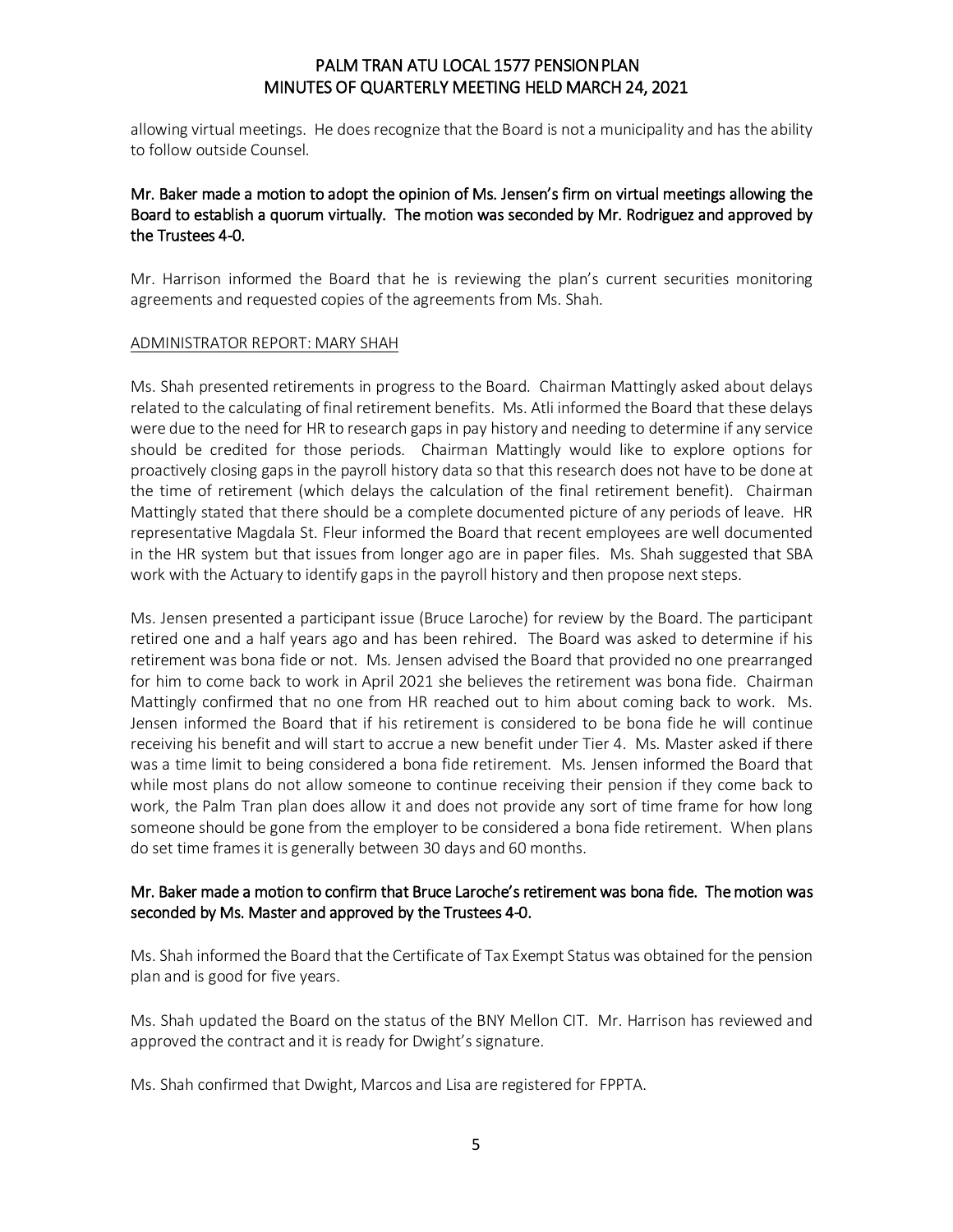allowing virtual meetings. He does recognize that the Board is not a municipality and has the ability to follow outside Counsel.

## Mr. Baker made a motion to adopt the opinion of Ms. Jensen's firm on virtual meetings allowing the Board to establish a quorum virtually. The motion was seconded by Mr. Rodriguez and approved by the Trustees 4-0.

Mr. Harrison informed the Board that he is reviewing the plan's current securities monitoring agreements and requested copies of the agreements from Ms. Shah.

### ADMINISTRATOR REPORT: MARY SHAH

Ms. Shah presented retirements in progress to the Board. Chairman Mattingly asked about delays related to the calculating of final retirement benefits. Ms. Atli informed the Board that these delays were due to the need for HR to research gaps in pay history and needing to determine if any service should be credited for those periods. Chairman Mattingly would like to explore options for proactively closing gaps in the payroll history data so that this research does not have to be done at the time of retirement (which delays the calculation of the final retirement benefit). Chairman Mattingly stated that there should be a complete documented picture of any periods of leave. HR representative Magdala St. Fleur informed the Board that recent employees are well documented in the HR system but that issues from longer ago are in paper files. Ms. Shah suggested that SBA work with the Actuary to identify gaps in the payroll history and then propose next steps.

Ms. Jensen presented a participant issue (Bruce Laroche) for review by the Board. The participant retired one and a half years ago and has been rehired. The Board was asked to determine if his retirement was bona fide or not. Ms. Jensen advised the Board that provided no one prearranged for him to come back to work in April 2021 she believes the retirement was bona fide. Chairman Mattingly confirmed that no one from HR reached out to him about coming back to work. Ms. Jensen informed the Board that if his retirement is considered to be bona fide he will continue receiving his benefit and will start to accrue a new benefit under Tier 4. Ms. Master asked if there was a time limit to being considered a bona fide retirement. Ms. Jensen informed the Board that while most plans do not allow someone to continue receiving their pension if they come back to work, the Palm Tran plan does allow it and does not provide any sort of time frame for how long someone should be gone from the employer to be considered a bona fide retirement. When plans do set time frames it is generally between 30 days and 60 months.

### Mr. Baker made a motion to confirm that Bruce Laroche's retirement was bona fide. The motion was seconded by Ms. Master and approved by the Trustees 4-0.

Ms. Shah informed the Board that the Certificate of Tax Exempt Status was obtained for the pension plan and is good for five years.

Ms. Shah updated the Board on the status of the BNY Mellon CIT. Mr. Harrison has reviewed and approved the contract and it is ready for Dwight's signature.

Ms. Shah confirmed that Dwight, Marcos and Lisa are registered for FPPTA.